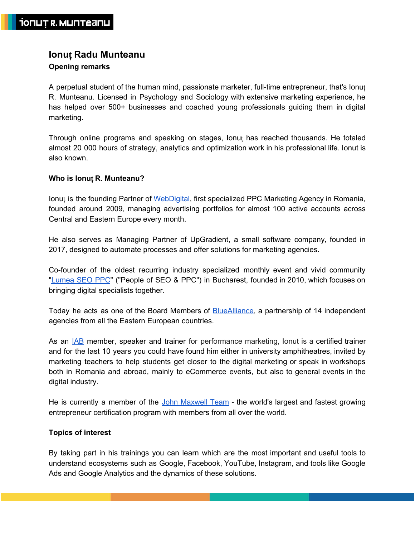# **Ionu**ț **Radu Munteanu Opening remarks**

A perpetual student of the human mind, passionate marketer, full-time entrepreneur, that's Ionuț R. Munteanu. Licensed in Psychology and Sociology with extensive marketing experience, he has helped over 500+ businesses and coached young professionals guiding them in digital marketing.

Through online programs and speaking on stages, Ionuț has reached thousands. He totaled almost 20 000 hours of strategy, analytics and optimization work in his professional life. Ionut is also known.

## **Who is Ionu**ț **R. Munteanu?**

Ionuț is the founding Partner of [WebDigital,](https://webdigital.ro/) first specialized PPC Marketing Agency in Romania, founded around 2009, managing advertising portfolios for almost 100 active accounts across Central and Eastern Europe every month.

He also serves as Managing Partner of UpGradient, a small software company, founded in 2017, designed to automate processes and offer solutions for marketing agencies.

Co-founder of the oldest recurring industry specialized monthly event and vivid community "[Lumea](http://lumeaseoppc.ro/despre/) SEO PPC" ("People of SEO & PPC") in Bucharest, founded in 2010, which focuses on bringing digital specialists together.

Today he acts as one of the Board Members of [BlueAlliance](https://bluealliance.eu/), a partnership of 14 independent agencies from all the Eastern European countries.

As an [IAB](https://iab-romania.ro/) member, speaker and trainer for performance marketing, lonut is a certified trainer and for the last 10 years you could have found him either in university amphitheatres, invited by marketing teachers to help students get closer to the digital marketing or speak in workshops both in Romania and abroad, mainly to eCommerce events, but also to general events in the digital industry.

He is currently a member of the [John](https://johnmaxwellteam.com/john-c-maxwell-certification-program/) [Maxwell](https://johnmaxwellteam.com/john-c-maxwell-certification-program/) Team - the world's largest and fastest growing entrepreneur certification program with members from all over the world.

## **Topics of interest**

By taking part in his trainings you can learn which are the most important and useful tools to understand ecosystems such as Google, Facebook, YouTube, Instagram, and tools like Google Ads and Google Analytics and the dynamics of these solutions.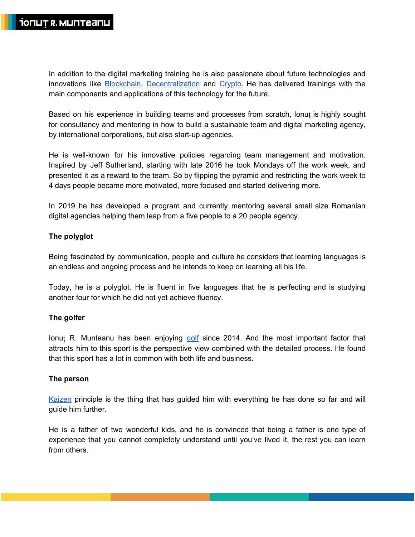In addition to the digital marketing training he is also passionate about future technologies and innovations like [Blockchain,](https://en.wikipedia.org/wiki/Blockchain) [Decentralization](https://en.wikipedia.org/wiki/Decentralization) and [Crypto.](https://en.wikipedia.org/wiki/Cryptocurrency) He has delivered trainings with the main components and applications of this technology for the future.

Based on his experience in building teams and processes from scratch, Ionuț is highly sought for consultancy and mentoring in how to build a sustainable team and digital marketing agency, by international corporations, but also start-up agencies.

He is well-known for his innovative policies regarding team management and motivation. Inspired by Jeff Sutherland, starting with late 2016 he took Mondays off the work week, and presented it as a reward to the team. So by flipping the pyramid and restricting the work week to 4 days people became more motivated, more focused and started delivering more.

In 2019 he has developed a program and currently mentoring several small size Romanian digital agencies helping them leap from a five people to a 20 people agency.

# **The polyglot**

Being fascinated by communication, people and culture he considers that learning languages is an endless and ongoing process and he intends to keep on learning all his life.

Today, he is a polyglot. He is fluent in five languages that he is perfecting and is studying another four for which he did not yet achieve fluency.

## **The golfer**

Ionuț R. Munteanu has been enjoying [golf](https://en.wikipedia.org/wiki/Golf) since 2014. And the most important factor that attracts him to this sport is the perspective view combined with the detailed process. He found that this sport has a lot in common with both life and business.

## **The person**

[Kaizen](https://en.wikipedia.org/wiki/Kaizen) principle is the thing that has guided him with everything he has done so far and will guide him further.

He is a father of two wonderful kids, and he is convinced that being a father is one type of experience that you cannot completely understand until you've lived it, the rest you can learn from others.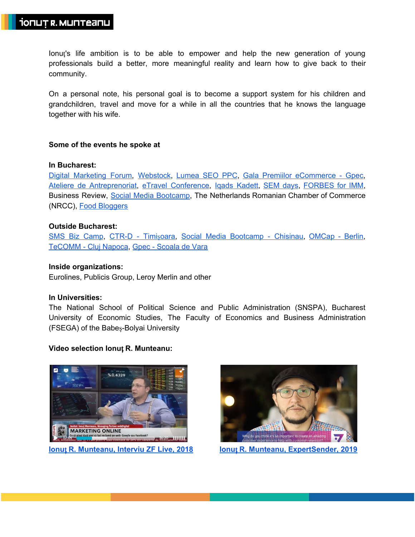Ionuț's life ambition is to be able to empower and help the new generation of young professionals build a better, more meaningful reality and learn how to give back to their community.

On a personal note, his personal goal is to become a support system for his children and grandchildren, travel and move for a while in all the countries that he knows the language together with his wife.

## **Some of the events he spoke at**

#### **In Bucharest:**

Digital [Marketing](https://www.digitalforum.ro/) Forum, [Webstock](https://www.2017.webstock.ro/), [Lumea](https://www.youtube.com/watch?v=34LOdBPyBkg) SEO PPC, Gala Premiilor [eCommerce](https://www.gpec.ro/blog/20-de-trenduri-in-digital-marketing-pentru-e-commerce-in-2018) - Gpec, Ateliere de [Antreprenoriat,](https://www.youtube.com/watch?v=lhE8V1rPbig) eTravel [Conference,](https://www.2018.etravelconference.ro/) Iqads [Kadett](https://www.iqads.ro/articol/25073/ionut-munteanu-webdigital-despre-segmentarea-audientei-in-marketingul-online), [SEM](http://www.business24.ro/internet/seo/business-ul-online-cum-te-ajuta-seo-in-afacerea-ta-interviu-1513100) days, [FORBES](https://www.forbes.ro/evenimente/conferinta-forbes-imm) for IMM, Business Review, Social Media [Bootcamp](https://prezi.com/f144lwogto4h/social-media-bootcamp/), The Netherlands Romanian Chamber of Commerce (NRCC), Food [Bloggers](http://www.gatesteusor.ro/food-bloggers-conference-2015/)

## **Outside Bucharest:**

SMS Biz [Camp](https://dragosschiopu.ro/social-media-summer-camp-2013-day-3/), [CTR-D](https://ctrl-d.ro/tips-and-tricks/cum-functioneaza-google-analytics-training-ctrl-d/) - Timișoara, Social Media [Bootcamp](https://diez.md/2017/07/22/vino-la-doua-editie-social-media-bootcamp-si-afla-care-sunt-secretele-din-spatele-celor-mai-mari-campanii-de-comunicare-din-romania-si-moldova/) - Chisinau, [OMCap](http://dev.projecter.de/blog/projecter/top-learnings-der-omcap-2015.html) - Berlin, [TeCOMM](http://revistabulevard.ro/2014/08/tecomm-2014-afla-cum-poti-sa-transformi-in-cumparatori-mai-multi-vizitatori/) - Cluj Napoca, Gpec - [Scoala](https://www.gpec.ro/blog/scoala-de-vara-gpec-2016-a-doua-zi-de-workshop-uri-cu-razvan-gavrilas-ionut-munteanu-si-raluca-radu) de Vara

#### **Inside organizations:**

Eurolines, Publicis Group, Leroy Merlin and other

#### **In Universities:**

The National School of Political Science and Public Administration (SNSPA), Bucharest University of Economic Studies, The Faculty of Economics and Business Administration (FSEGA) of the Babeș-Bolyai University

## **Video selection Ionu**ț **R. Munteanu:**



**Ionu**ț **R. [Munteanu,](https://www.zf.ro/business-hi-tech/zf-live-ionut-munteanu-managing-partner-la-webdigital-ponderea-bugetelor-alocate-de-companii-pentru-promovarea-pe-facebook-si-google-a-ajuns-sa-fie-egala-fata-de-20-80-in-urma-cu-5-ani-17220415) Interviu ZF Live, 2018 Ionu**ț **R. Munteanu, [ExpertSender,](https://www.youtube.com/watch?v=lhE8V1rPbig) 2019**